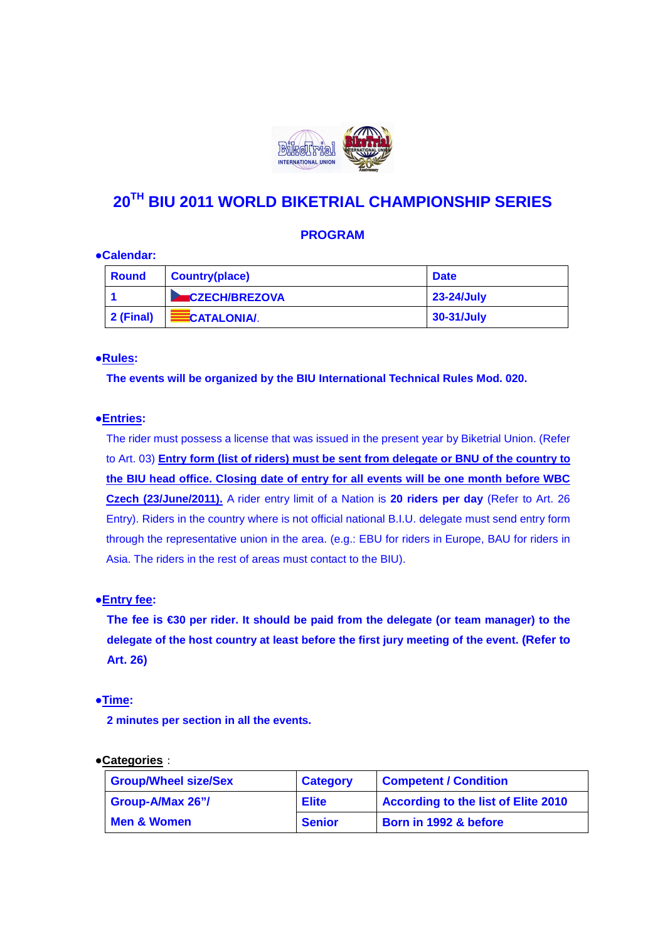

# **20TH BIU 2011 WORLD BIKETRIAL CHAMPIONSHIP SERIES**

# **PROGRAM**

#### **●Calendar:**

| <b>Round</b>      | <b>Country(place)</b>      | <b>Date</b>  |
|-------------------|----------------------------|--------------|
|                   | <b>EXECCH/BREZOVA</b>      | 23-24/July   |
| $\vert$ 2 (Final) | <b>EXAMPLE CATALONIA</b> . | $30-31/July$ |

#### ●**Rules:**

 **The events will be organized by the BIU International Technical Rules Mod. 020.** 

### ●**Entries:**

 The rider must possess a license that was issued in the present year by Biketrial Union. (Refer to Art. 03) **Entry form (list of riders) must be sent from delegate or BNU of the country to the BIU head office. Closing date of entry for all events will be one month before WBC Czech (23/June/2011).** A rider entry limit of a Nation is **20 riders per day** (Refer to Art. 26 Entry). Riders in the country where is not official national B.I.U. delegate must send entry form through the representative union in the area. (e.g.: EBU for riders in Europe, BAU for riders in Asia. The riders in the rest of areas must contact to the BIU).

#### **●Entry fee:**

**The fee is €30 per rider. It should be paid from the delegate (or team manager) to the delegate of the host country at least before the first jury meeting of the event. (Refer to Art. 26)** 

#### ●**Time:**

 **2 minutes per section in all the events.** 

#### ●**Categories**:

| <b>Group/Wheel size/Sex</b> | <b>Category</b> | <b>Competent / Condition</b>               |
|-----------------------------|-----------------|--------------------------------------------|
| Group-A/Max 26"/            | <b>Elite</b>    | <b>According to the list of Elite 2010</b> |
| <b>Men &amp; Women</b>      | <b>Senior</b>   | Born in 1992 & before                      |